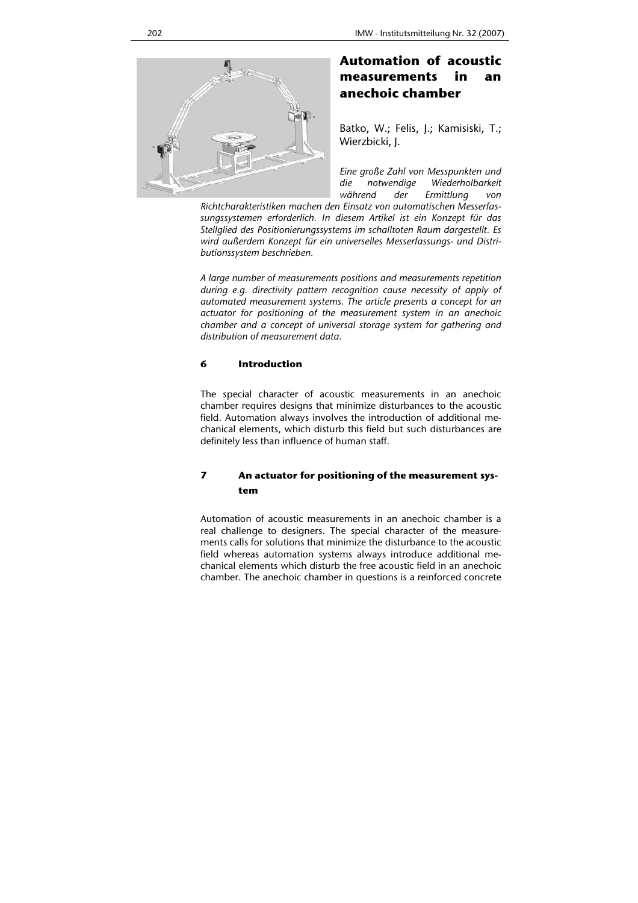

# **Automation of acoustic measurements in an anechoic chamber**

Batko, W.; Felis, J.; Kamisiski, T.; Wierzbicki, J.

*Eine große Zahl von Messpunkten und die notwendige Wiederholbarkeit während der Ermittlung von* 

*Richtcharakteristiken machen den Einsatz von automatischen Messerfassungssystemen erforderlich. In diesem Artikel ist ein Konzept für das Stellglied des Positionierungssystems im schalltoten Raum dargestellt. Es wird außerdem Konzept für ein universelles Messerfassungs- und Distributionssystem beschrieben.* 

*A large number of measurements positions and measurements repetition during e.g. directivity pattern recognition cause necessity of apply of automated measurement systems. The article presents a concept for an actuator for positioning of the measurement system in an anechoic chamber and a concept of universal storage system for gathering and distribution of measurement data.* 

#### **6 Introduction**

The special character of acoustic measurements in an anechoic chamber requires designs that minimize disturbances to the acoustic field. Automation always involves the introduction of additional mechanical elements, which disturb this field but such disturbances are definitely less than influence of human staff.

## **7 An actuator for positioning of the measurement system**

Automation of acoustic measurements in an anechoic chamber is a real challenge to designers. The special character of the measurements calls for solutions that minimize the disturbance to the acoustic field whereas automation systems always introduce additional mechanical elements which disturb the free acoustic field in an anechoic chamber. The anechoic chamber in questions is a reinforced concrete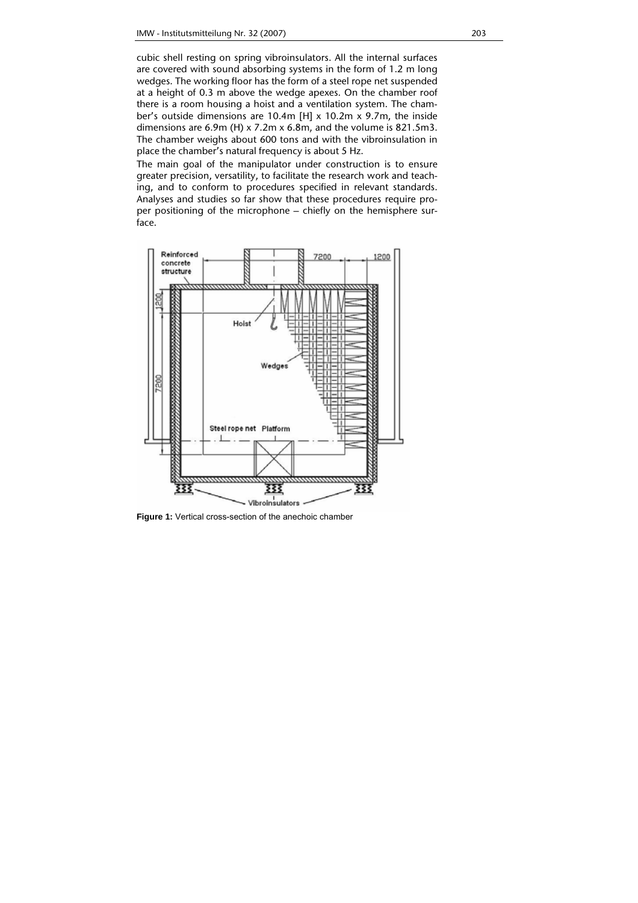cubic shell resting on spring vibroinsulators. All the internal surfaces are covered with sound absorbing systems in the form of 1.2 m long wedges. The working floor has the form of a steel rope net suspended at a height of 0.3 m above the wedge apexes. On the chamber roof there is a room housing a hoist and a ventilation system. The chamber's outside dimensions are 10.4m [H] x 10.2m x 9.7m, the inside dimensions are 6.9m (H) x 7.2m x 6.8m, and the volume is 821.5m3. The chamber weighs about 600 tons and with the vibroinsulation in place the chamber's natural frequency is about 5 Hz.

The main goal of the manipulator under construction is to ensure greater precision, versatility, to facilitate the research work and teaching, and to conform to procedures specified in relevant standards. Analyses and studies so far show that these procedures require proper positioning of the microphone – chiefly on the hemisphere surface.



**Figure 1:** Vertical cross-section of the anechoic chamber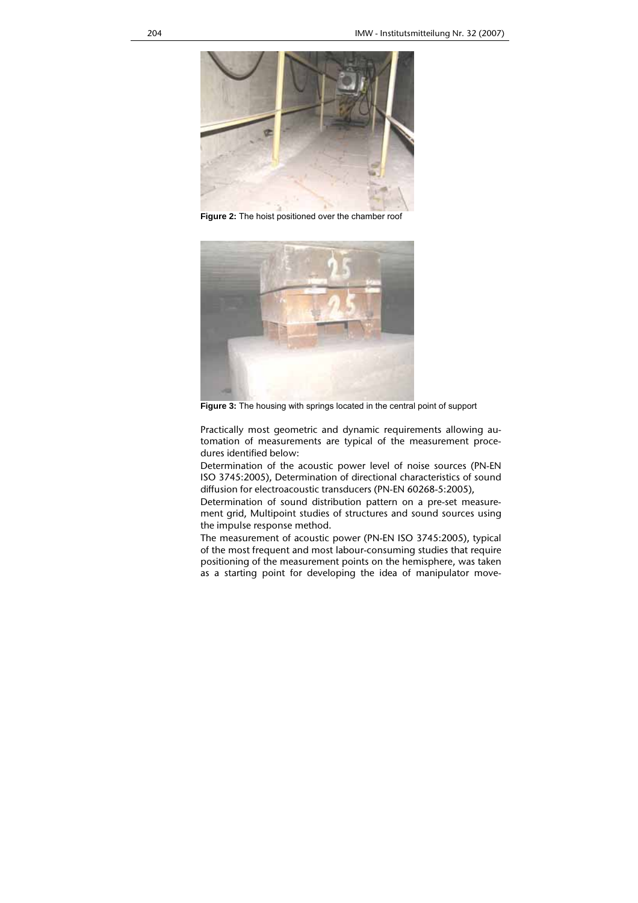

**Figure 2:** The hoist positioned over the chamber roof



**Figure 3:** The housing with springs located in the central point of support

Practically most geometric and dynamic requirements allowing automation of measurements are typical of the measurement procedures identified below:

Determination of the acoustic power level of noise sources (PN-EN ISO 3745:2005), Determination of directional characteristics of sound diffusion for electroacoustic transducers (PN-EN 60268-5:2005),

Determination of sound distribution pattern on a pre-set measurement grid, Multipoint studies of structures and sound sources using the impulse response method.

The measurement of acoustic power (PN-EN ISO 3745:2005), typical of the most frequent and most labour-consuming studies that require positioning of the measurement points on the hemisphere, was taken as a starting point for developing the idea of manipulator move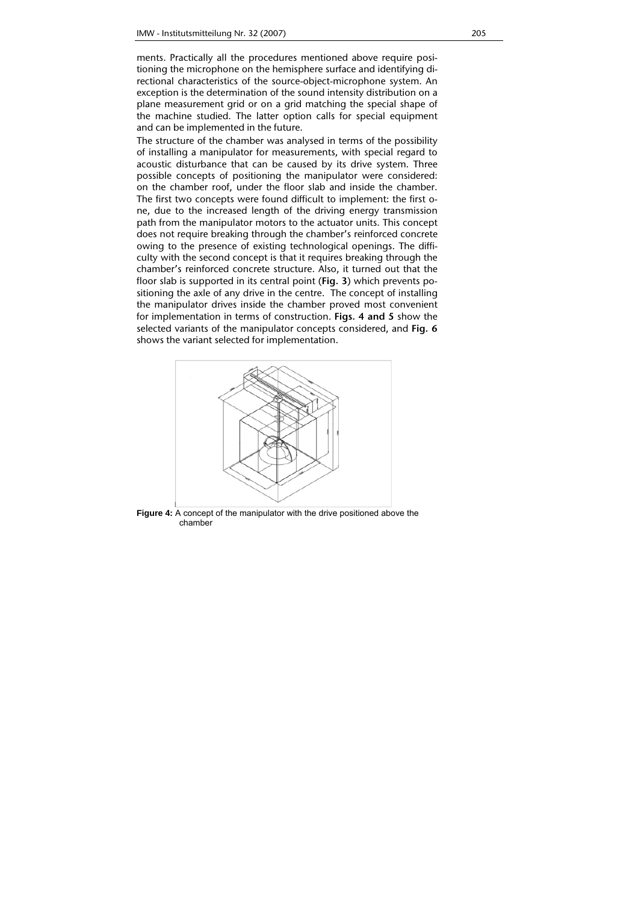ments. Practically all the procedures mentioned above require positioning the microphone on the hemisphere surface and identifying directional characteristics of the source-object-microphone system. An exception is the determination of the sound intensity distribution on a plane measurement grid or on a grid matching the special shape of the machine studied. The latter option calls for special equipment and can be implemented in the future.

The structure of the chamber was analysed in terms of the possibility of installing a manipulator for measurements, with special regard to acoustic disturbance that can be caused by its drive system. Three possible concepts of positioning the manipulator were considered: on the chamber roof, under the floor slab and inside the chamber. The first two concepts were found difficult to implement: the first one, due to the increased length of the driving energy transmission path from the manipulator motors to the actuator units. This concept does not require breaking through the chamber's reinforced concrete owing to the presence of existing technological openings. The difficulty with the second concept is that it requires breaking through the chamber's reinforced concrete structure. Also, it turned out that the floor slab is supported in its central point (**Fig. 3**) which prevents positioning the axle of any drive in the centre. The concept of installing the manipulator drives inside the chamber proved most convenient for implementation in terms of construction. **Figs. 4 and 5** show the selected variants of the manipulator concepts considered, and **Fig. 6** shows the variant selected for implementation.



**Figure 4:** A concept of the manipulator with the drive positioned above the chamber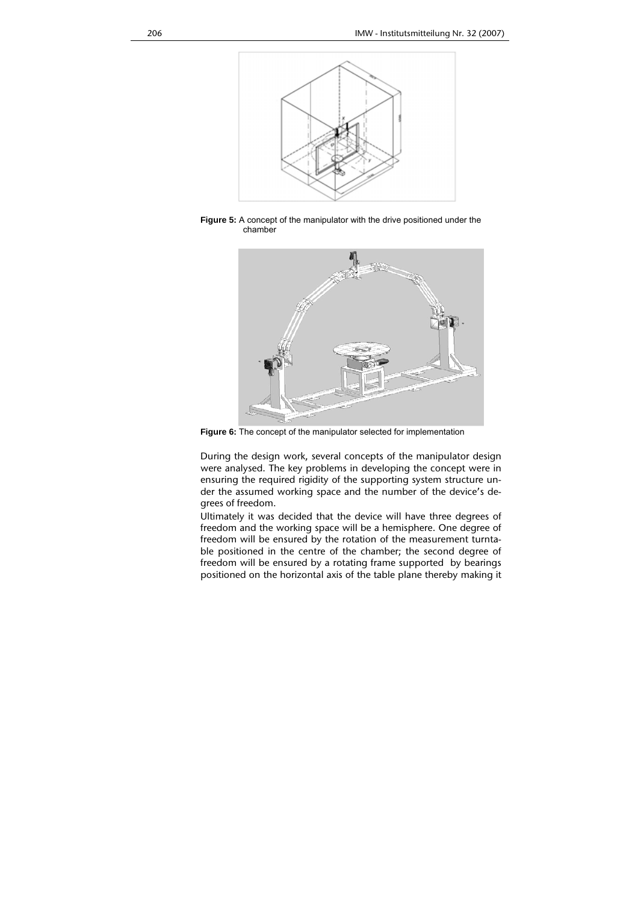

**Figure 5:** A concept of the manipulator with the drive positioned under the chamber



**Figure 6:** The concept of the manipulator selected for implementation

During the design work, several concepts of the manipulator design were analysed. The key problems in developing the concept were in ensuring the required rigidity of the supporting system structure under the assumed working space and the number of the device's degrees of freedom.

Ultimately it was decided that the device will have three degrees of freedom and the working space will be a hemisphere. One degree of freedom will be ensured by the rotation of the measurement turntable positioned in the centre of the chamber; the second degree of freedom will be ensured by a rotating frame supported by bearings positioned on the horizontal axis of the table plane thereby making it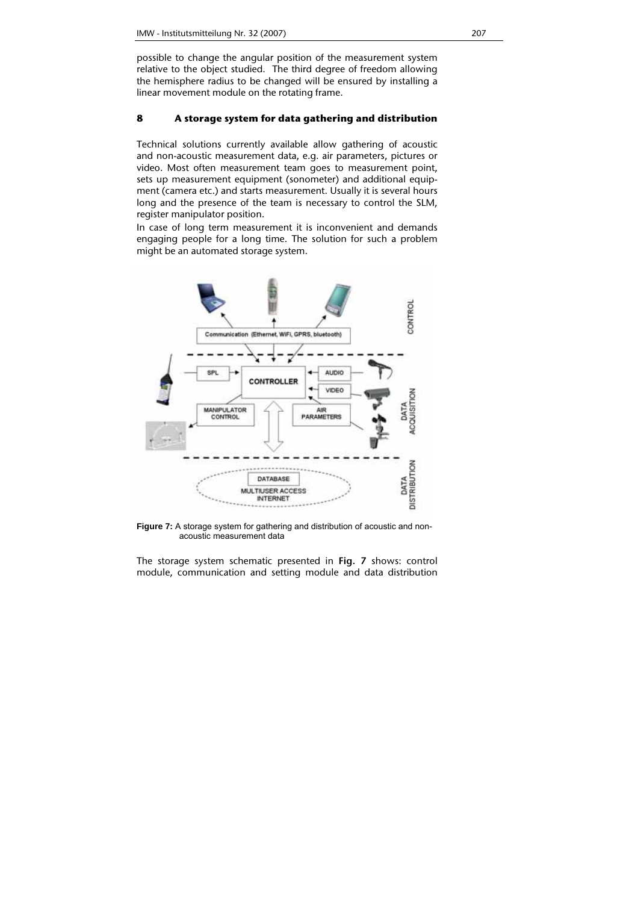possible to change the angular position of the measurement system relative to the object studied. The third degree of freedom allowing the hemisphere radius to be changed will be ensured by installing a linear movement module on the rotating frame.

### **8 A storage system for data gathering and distribution**

Technical solutions currently available allow gathering of acoustic and non-acoustic measurement data, e.g. air parameters, pictures or video. Most often measurement team goes to measurement point, sets up measurement equipment (sonometer) and additional equipment (camera etc.) and starts measurement. Usually it is several hours long and the presence of the team is necessary to control the SLM, register manipulator position.

In case of long term measurement it is inconvenient and demands engaging people for a long time. The solution for such a problem might be an automated storage system.



**Figure 7:** A storage system for gathering and distribution of acoustic and nonacoustic measurement data

The storage system schematic presented in **Fig. 7** shows: control module, communication and setting module and data distribution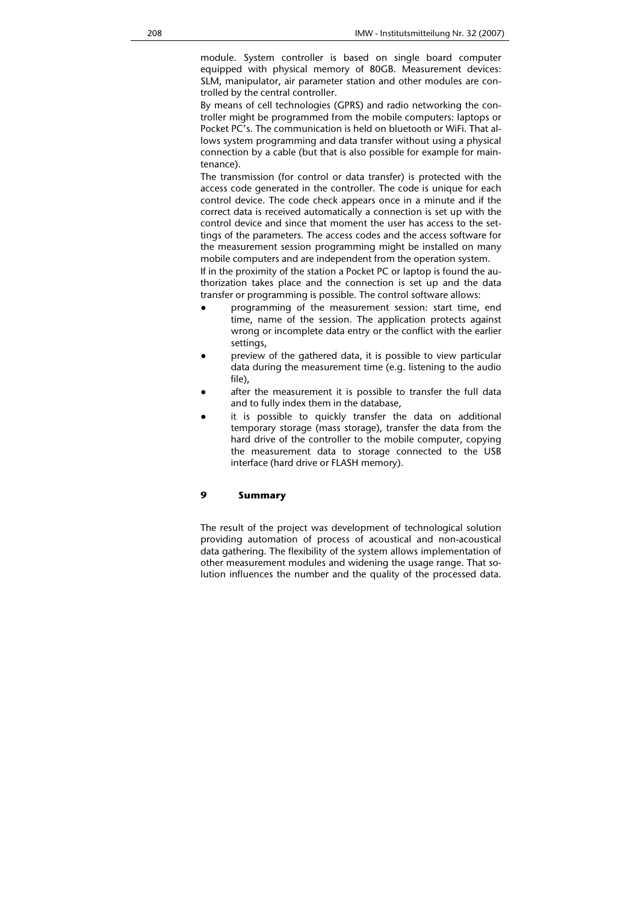module. System controller is based on single board computer equipped with physical memory of 80GB. Measurement devices: SLM, manipulator, air parameter station and other modules are controlled by the central controller.

By means of cell technologies (GPRS) and radio networking the controller might be programmed from the mobile computers: laptops or Pocket PC's. The communication is held on bluetooth or WiFi. That allows system programming and data transfer without using a physical connection by a cable (but that is also possible for example for maintenance).

The transmission (for control or data transfer) is protected with the access code generated in the controller. The code is unique for each control device. The code check appears once in a minute and if the correct data is received automatically a connection is set up with the control device and since that moment the user has access to the settings of the parameters. The access codes and the access software for the measurement session programming might be installed on many mobile computers and are independent from the operation system.

If in the proximity of the station a Pocket PC or laptop is found the authorization takes place and the connection is set up and the data transfer or programming is possible. The control software allows:

- programming of the measurement session: start time, end time, name of the session. The application protects against wrong or incomplete data entry or the conflict with the earlier settings,
- preview of the gathered data, it is possible to view particular data during the measurement time (e.g. listening to the audio file),
- after the measurement it is possible to transfer the full data and to fully index them in the database,
- it is possible to quickly transfer the data on additional temporary storage (mass storage), transfer the data from the hard drive of the controller to the mobile computer, copying the measurement data to storage connected to the USB interface (hard drive or FLASH memory).

#### **9 Summary**

The result of the project was development of technological solution providing automation of process of acoustical and non-acoustical data gathering. The flexibility of the system allows implementation of other measurement modules and widening the usage range. That solution influences the number and the quality of the processed data.